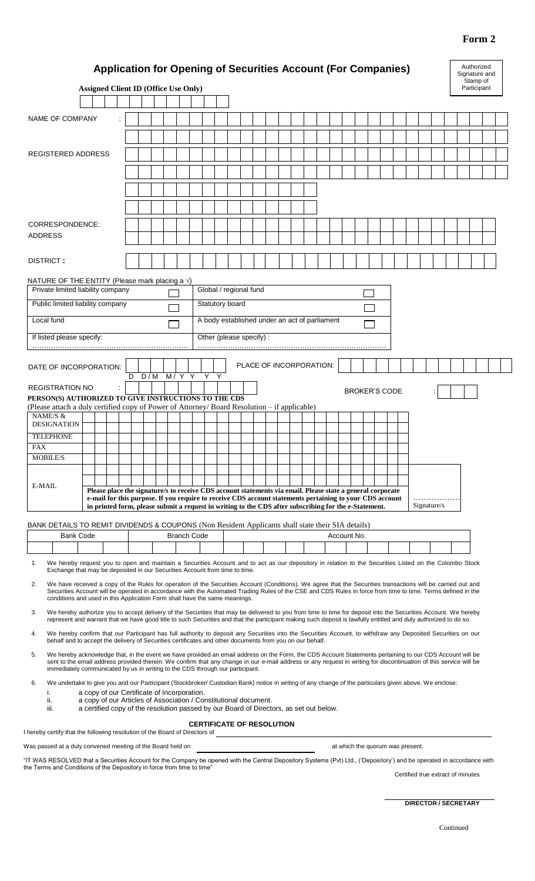# **Form 2**

|                                                                                                                                                                                                                                                                                                                                                                                                                  | <b>Application for Opening of Securities Account (For Companies)</b><br><b>Assigned Client ID (Office Use Only)</b>                                                                                                    |   |  |                                                                     |                    |  |                         |  |                                               |  |  |                                  |  |                      |  |             |  | Authorized<br>Signature and<br>Stamp of<br>Participant |  |
|------------------------------------------------------------------------------------------------------------------------------------------------------------------------------------------------------------------------------------------------------------------------------------------------------------------------------------------------------------------------------------------------------------------|------------------------------------------------------------------------------------------------------------------------------------------------------------------------------------------------------------------------|---|--|---------------------------------------------------------------------|--------------------|--|-------------------------|--|-----------------------------------------------|--|--|----------------------------------|--|----------------------|--|-------------|--|--------------------------------------------------------|--|
|                                                                                                                                                                                                                                                                                                                                                                                                                  |                                                                                                                                                                                                                        |   |  |                                                                     |                    |  |                         |  |                                               |  |  |                                  |  |                      |  |             |  |                                                        |  |
| NAME OF COMPANY                                                                                                                                                                                                                                                                                                                                                                                                  |                                                                                                                                                                                                                        |   |  |                                                                     |                    |  |                         |  |                                               |  |  |                                  |  |                      |  |             |  |                                                        |  |
|                                                                                                                                                                                                                                                                                                                                                                                                                  |                                                                                                                                                                                                                        |   |  |                                                                     |                    |  |                         |  |                                               |  |  |                                  |  |                      |  |             |  |                                                        |  |
|                                                                                                                                                                                                                                                                                                                                                                                                                  |                                                                                                                                                                                                                        |   |  |                                                                     |                    |  |                         |  |                                               |  |  |                                  |  |                      |  |             |  |                                                        |  |
| <b>REGISTERED ADDRESS</b>                                                                                                                                                                                                                                                                                                                                                                                        |                                                                                                                                                                                                                        |   |  |                                                                     |                    |  |                         |  |                                               |  |  |                                  |  |                      |  |             |  |                                                        |  |
|                                                                                                                                                                                                                                                                                                                                                                                                                  |                                                                                                                                                                                                                        |   |  |                                                                     |                    |  |                         |  |                                               |  |  |                                  |  |                      |  |             |  |                                                        |  |
|                                                                                                                                                                                                                                                                                                                                                                                                                  |                                                                                                                                                                                                                        |   |  |                                                                     |                    |  |                         |  |                                               |  |  |                                  |  |                      |  |             |  |                                                        |  |
|                                                                                                                                                                                                                                                                                                                                                                                                                  |                                                                                                                                                                                                                        |   |  |                                                                     |                    |  |                         |  |                                               |  |  |                                  |  |                      |  |             |  |                                                        |  |
|                                                                                                                                                                                                                                                                                                                                                                                                                  |                                                                                                                                                                                                                        |   |  |                                                                     |                    |  |                         |  |                                               |  |  |                                  |  |                      |  |             |  |                                                        |  |
|                                                                                                                                                                                                                                                                                                                                                                                                                  |                                                                                                                                                                                                                        |   |  |                                                                     |                    |  |                         |  |                                               |  |  |                                  |  |                      |  |             |  |                                                        |  |
| CORRESPONDENCE:<br><b>ADDRESS</b>                                                                                                                                                                                                                                                                                                                                                                                |                                                                                                                                                                                                                        |   |  |                                                                     |                    |  |                         |  |                                               |  |  |                                  |  |                      |  |             |  |                                                        |  |
|                                                                                                                                                                                                                                                                                                                                                                                                                  |                                                                                                                                                                                                                        |   |  |                                                                     |                    |  |                         |  |                                               |  |  |                                  |  |                      |  |             |  |                                                        |  |
| DISTRICT:                                                                                                                                                                                                                                                                                                                                                                                                        |                                                                                                                                                                                                                        |   |  |                                                                     |                    |  |                         |  |                                               |  |  |                                  |  |                      |  |             |  |                                                        |  |
|                                                                                                                                                                                                                                                                                                                                                                                                                  |                                                                                                                                                                                                                        |   |  |                                                                     |                    |  |                         |  |                                               |  |  |                                  |  |                      |  |             |  |                                                        |  |
| NATURE OF THE ENTITY (Please mark placing a $\sqrt{ }$ )                                                                                                                                                                                                                                                                                                                                                         |                                                                                                                                                                                                                        |   |  |                                                                     |                    |  |                         |  |                                               |  |  |                                  |  |                      |  |             |  |                                                        |  |
| Private limited liability company                                                                                                                                                                                                                                                                                                                                                                                |                                                                                                                                                                                                                        |   |  |                                                                     |                    |  | Global / regional fund  |  |                                               |  |  |                                  |  |                      |  |             |  |                                                        |  |
| Public limited liability company                                                                                                                                                                                                                                                                                                                                                                                 |                                                                                                                                                                                                                        |   |  |                                                                     |                    |  | Statutory board         |  |                                               |  |  |                                  |  |                      |  |             |  |                                                        |  |
| Local fund                                                                                                                                                                                                                                                                                                                                                                                                       |                                                                                                                                                                                                                        |   |  |                                                                     |                    |  |                         |  | A body established under an act of parliament |  |  |                                  |  |                      |  |             |  |                                                        |  |
|                                                                                                                                                                                                                                                                                                                                                                                                                  |                                                                                                                                                                                                                        |   |  |                                                                     |                    |  |                         |  |                                               |  |  |                                  |  |                      |  |             |  |                                                        |  |
| If listed please specify:                                                                                                                                                                                                                                                                                                                                                                                        |                                                                                                                                                                                                                        |   |  |                                                                     |                    |  | Other (please specify): |  |                                               |  |  |                                  |  |                      |  |             |  |                                                        |  |
|                                                                                                                                                                                                                                                                                                                                                                                                                  |                                                                                                                                                                                                                        |   |  |                                                                     |                    |  |                         |  |                                               |  |  |                                  |  |                      |  |             |  |                                                        |  |
| DATE OF INCORPORATION:                                                                                                                                                                                                                                                                                                                                                                                           |                                                                                                                                                                                                                        |   |  |                                                                     |                    |  |                         |  | PLACE OF INCORPORATION:                       |  |  |                                  |  |                      |  |             |  |                                                        |  |
|                                                                                                                                                                                                                                                                                                                                                                                                                  |                                                                                                                                                                                                                        | D |  | $D/M$ $\overline{M/Y}$ $\overline{Y}$ $\overline{Y}$ $\overline{Y}$ |                    |  |                         |  |                                               |  |  |                                  |  |                      |  |             |  |                                                        |  |
| <b>REGISTRATION NO</b><br>PERSON(S) AUTHORIZED TO GIVE INSTRUCTIONS TO THE CDS                                                                                                                                                                                                                                                                                                                                   |                                                                                                                                                                                                                        |   |  |                                                                     |                    |  |                         |  |                                               |  |  |                                  |  | <b>BROKER'S CODE</b> |  |             |  |                                                        |  |
| (Please attach a duly certified copy of Power of Attorney/Board Resolution – if applicable)                                                                                                                                                                                                                                                                                                                      |                                                                                                                                                                                                                        |   |  |                                                                     |                    |  |                         |  |                                               |  |  |                                  |  |                      |  |             |  |                                                        |  |
| NAME/S &<br><b>DESIGNATION</b>                                                                                                                                                                                                                                                                                                                                                                                   |                                                                                                                                                                                                                        |   |  |                                                                     |                    |  |                         |  |                                               |  |  |                                  |  |                      |  |             |  |                                                        |  |
| <b>TELEPHONE</b>                                                                                                                                                                                                                                                                                                                                                                                                 |                                                                                                                                                                                                                        |   |  |                                                                     |                    |  |                         |  |                                               |  |  |                                  |  |                      |  |             |  |                                                        |  |
| <b>FAX</b>                                                                                                                                                                                                                                                                                                                                                                                                       |                                                                                                                                                                                                                        |   |  |                                                                     |                    |  |                         |  |                                               |  |  |                                  |  |                      |  |             |  |                                                        |  |
| <b>MOBILE/S</b>                                                                                                                                                                                                                                                                                                                                                                                                  |                                                                                                                                                                                                                        |   |  |                                                                     |                    |  |                         |  |                                               |  |  |                                  |  |                      |  |             |  |                                                        |  |
|                                                                                                                                                                                                                                                                                                                                                                                                                  |                                                                                                                                                                                                                        |   |  |                                                                     |                    |  |                         |  |                                               |  |  |                                  |  |                      |  |             |  |                                                        |  |
| E-MAIL                                                                                                                                                                                                                                                                                                                                                                                                           |                                                                                                                                                                                                                        |   |  |                                                                     |                    |  |                         |  |                                               |  |  |                                  |  |                      |  |             |  |                                                        |  |
|                                                                                                                                                                                                                                                                                                                                                                                                                  | Please place the signature/s to receive CDS account statements via email. Please state a general corporate<br>e-mail for this purpose. If you require to receive CDS account statements pertaining to your CDS account |   |  |                                                                     |                    |  |                         |  |                                               |  |  |                                  |  |                      |  |             |  |                                                        |  |
|                                                                                                                                                                                                                                                                                                                                                                                                                  | in printed form, please submit a request in writing to the CDS after subscribing for the e-Statement.                                                                                                                  |   |  |                                                                     |                    |  |                         |  |                                               |  |  |                                  |  |                      |  | Signature/s |  |                                                        |  |
| BANK DETAILS TO REMIT DIVIDENDS & COUPONS (Non Resident Applicants shall state their SIA details)                                                                                                                                                                                                                                                                                                                |                                                                                                                                                                                                                        |   |  |                                                                     |                    |  |                         |  |                                               |  |  |                                  |  |                      |  |             |  |                                                        |  |
| <b>Bank Code</b>                                                                                                                                                                                                                                                                                                                                                                                                 |                                                                                                                                                                                                                        |   |  |                                                                     | <b>Branch Code</b> |  |                         |  |                                               |  |  | Account No.                      |  |                      |  |             |  |                                                        |  |
|                                                                                                                                                                                                                                                                                                                                                                                                                  |                                                                                                                                                                                                                        |   |  |                                                                     |                    |  |                         |  |                                               |  |  |                                  |  |                      |  |             |  |                                                        |  |
| We hereby request you to open and maintain a Securities Account and to act as our depository in relation to the Securities Listed on the Colombo Stock<br>1.                                                                                                                                                                                                                                                     |                                                                                                                                                                                                                        |   |  |                                                                     |                    |  |                         |  |                                               |  |  |                                  |  |                      |  |             |  |                                                        |  |
| Exchange that may be deposited in our Securities Account from time to time.                                                                                                                                                                                                                                                                                                                                      |                                                                                                                                                                                                                        |   |  |                                                                     |                    |  |                         |  |                                               |  |  |                                  |  |                      |  |             |  |                                                        |  |
| We have received a copy of the Rules for operation of the Securities Account (Conditions). We agree that the Securities transactions will be carried out and<br>2.<br>Securities Account will be operated in accordance with the Automated Trading Rules of the CSE and CDS Rules in force from time to time. Terms defined in the<br>conditions and used in this Application Form shall have the same meanings. |                                                                                                                                                                                                                        |   |  |                                                                     |                    |  |                         |  |                                               |  |  |                                  |  |                      |  |             |  |                                                        |  |
| We hereby authorize you to accept delivery of the Securities that may be delivered to you from time to time for deposit into the Securities Account. We hereby<br>3.<br>represent and warrant that we have good title to such Securities and that the participant making such deposit is lawfully entitled and duly authorized to do so.                                                                         |                                                                                                                                                                                                                        |   |  |                                                                     |                    |  |                         |  |                                               |  |  |                                  |  |                      |  |             |  |                                                        |  |
| We hereby confirm that our Participant has full authority to deposit any Securities into the Securities Account, to withdraw any Deposited Securities on our<br>4.<br>behalf and to accept the delivery of Securities certificates and other documents from you on our behalf.                                                                                                                                   |                                                                                                                                                                                                                        |   |  |                                                                     |                    |  |                         |  |                                               |  |  |                                  |  |                      |  |             |  |                                                        |  |
| We hereby acknowledge that, in the event we have provided an email address on the Form, the CDS Account Statements pertaining to our CDS Account will be<br>5.<br>sent to the email address provided therein. We confirm that any change in our e-mail address or any request in writing for discontinuation of this service will be                                                                             |                                                                                                                                                                                                                        |   |  |                                                                     |                    |  |                         |  |                                               |  |  |                                  |  |                      |  |             |  |                                                        |  |
| immediately communicated by us in writing to the CDS through our participant.                                                                                                                                                                                                                                                                                                                                    |                                                                                                                                                                                                                        |   |  |                                                                     |                    |  |                         |  |                                               |  |  |                                  |  |                      |  |             |  |                                                        |  |
| We undertake to give you and our Participant (Stockbroker/ Custodian Bank) notice in writing of any change of the particulars given above. We enclose:<br>6.                                                                                                                                                                                                                                                     |                                                                                                                                                                                                                        |   |  |                                                                     |                    |  |                         |  |                                               |  |  |                                  |  |                      |  |             |  |                                                        |  |
| i.<br>ii.<br>iii.                                                                                                                                                                                                                                                                                                                                                                                                | a copy of our Certificate of Incorporation.<br>a copy of our Articles of Association / Constitutional document.<br>a certified copy of the resolution passed by our Board of Directors, as set out below.              |   |  |                                                                     |                    |  |                         |  |                                               |  |  |                                  |  |                      |  |             |  |                                                        |  |
| I hereby certify that the following resolution of the Board of Directors of                                                                                                                                                                                                                                                                                                                                      |                                                                                                                                                                                                                        |   |  |                                                                     |                    |  |                         |  | <b>CERTIFICATE OF RESOLUTION</b>              |  |  |                                  |  |                      |  |             |  |                                                        |  |
| Was passed at a duly convened meeting of the Board held on                                                                                                                                                                                                                                                                                                                                                       |                                                                                                                                                                                                                        |   |  |                                                                     |                    |  |                         |  |                                               |  |  | at which the quorum was present. |  |                      |  |             |  |                                                        |  |
|                                                                                                                                                                                                                                                                                                                                                                                                                  |                                                                                                                                                                                                                        |   |  |                                                                     |                    |  |                         |  |                                               |  |  |                                  |  |                      |  |             |  |                                                        |  |
| "IT WAS RESOLVED that a Securities Account for the Company be opened with the Central Depository Systems (Pvt) Ltd., ('Depository') and be operated in accordance with<br>the Terms and Conditions of the Depository in force from time to time"                                                                                                                                                                 |                                                                                                                                                                                                                        |   |  |                                                                     |                    |  |                         |  |                                               |  |  |                                  |  |                      |  |             |  |                                                        |  |
|                                                                                                                                                                                                                                                                                                                                                                                                                  |                                                                                                                                                                                                                        |   |  |                                                                     |                    |  |                         |  |                                               |  |  |                                  |  |                      |  |             |  | Certified true extract of minutes                      |  |
|                                                                                                                                                                                                                                                                                                                                                                                                                  |                                                                                                                                                                                                                        |   |  |                                                                     |                    |  |                         |  |                                               |  |  |                                  |  |                      |  |             |  |                                                        |  |

**DIRECTOR / SECRETARY**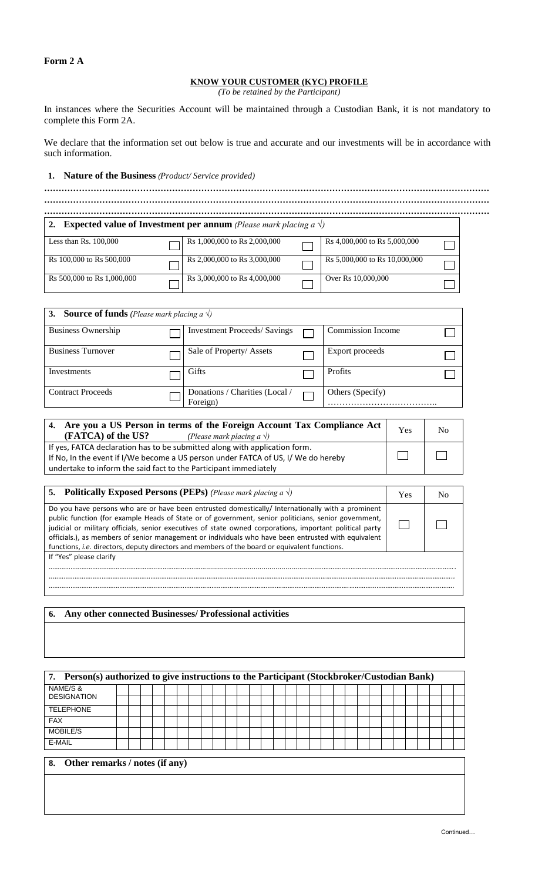## **Form 2 A**

# **KNOW YOUR CUSTOMER (KYC) PROFILE**

*(To be retained by the Participant)*

In instances where the Securities Account will be maintained through a Custodian Bank, it is not mandatory to complete this Form 2A.

We declare that the information set out below is true and accurate and our investments will be in accordance with such information.

## **1. Nature of the Business** *(Product/ Service provided)*

|                            | <b>Expected value of Investment per annum</b> (Please mark placing a $\sqrt{ }$ ) |                               |  |
|----------------------------|-----------------------------------------------------------------------------------|-------------------------------|--|
| Less than $Rs. 100,000$    | Rs 1,000,000 to Rs 2,000,000                                                      | Rs 4,000,000 to Rs 5,000,000  |  |
| Rs 100,000 to Rs 500,000   | Rs 2,000,000 to Rs 3,000,000                                                      | Rs 5,000,000 to Rs 10,000,000 |  |
| Rs 500,000 to Rs 1,000,000 | Rs 3,000,000 to Rs 4,000,000                                                      | Over Rs 10,000,000            |  |

| <b>3.</b> Source of funds (Please mark placing a $\sqrt{ }$ ) |                                            |                          |  |
|---------------------------------------------------------------|--------------------------------------------|--------------------------|--|
| <b>Business Ownership</b>                                     | <b>Investment Proceeds/Savings</b>         | <b>Commission Income</b> |  |
| <b>Business Turnover</b>                                      | Sale of Property/ Assets                   | Export proceeds          |  |
| Investments                                                   | <b>Gifts</b>                               | <b>Profits</b>           |  |
| <b>Contract Proceeds</b>                                      | Donations / Charities (Local /<br>Foreign) | Others (Specify)         |  |

| 4. Are you a US Person in terms of the Foreign Account Tax Compliance Act<br>(FATCA) of the US?<br>(Please mark placing a $\sqrt{ }$ ) | Yes | Nο |
|----------------------------------------------------------------------------------------------------------------------------------------|-----|----|
| If yes, FATCA declaration has to be submitted along with application form.                                                             |     |    |
| If No, In the event if I/We become a US person under FATCA of US, I/We do hereby                                                       |     |    |
| undertake to inform the said fact to the Participant immediately                                                                       |     |    |

| <b>5.</b> Politically Exposed Persons (PEPs) (Please mark placing a $\sqrt{ }$ )                                                                                                                                                                                                                                                                                                                                                                                                                                              | <b>Yes</b> |  |
|-------------------------------------------------------------------------------------------------------------------------------------------------------------------------------------------------------------------------------------------------------------------------------------------------------------------------------------------------------------------------------------------------------------------------------------------------------------------------------------------------------------------------------|------------|--|
| Do you have persons who are or have been entrusted domestically/ Internationally with a prominent<br>public function (for example Heads of State or of government, senior politicians, senior government,<br>judicial or military officials, senior executives of state owned corporations, important political party<br>officials.), as members of senior management or individuals who have been entrusted with equivalent<br>functions, i.e. directors, deputy directors and members of the board or equivalent functions. |            |  |
| If "Yes" please clarify                                                                                                                                                                                                                                                                                                                                                                                                                                                                                                       |            |  |
|                                                                                                                                                                                                                                                                                                                                                                                                                                                                                                                               |            |  |

### **6. Any other connected Businesses/ Professional activities**

| 7. Person(s) authorized to give instructions to the Participant (Stockbroker/Custodian Bank) |  |  |  |  |  |  |  |  |  |  |  |  |  |  |
|----------------------------------------------------------------------------------------------|--|--|--|--|--|--|--|--|--|--|--|--|--|--|
| NAME/S &<br><b>DESIGNATION</b>                                                               |  |  |  |  |  |  |  |  |  |  |  |  |  |  |
| <b>TELEPHONE</b>                                                                             |  |  |  |  |  |  |  |  |  |  |  |  |  |  |
| <b>FAX</b>                                                                                   |  |  |  |  |  |  |  |  |  |  |  |  |  |  |
| MOBILE/S                                                                                     |  |  |  |  |  |  |  |  |  |  |  |  |  |  |
| E-MAIL                                                                                       |  |  |  |  |  |  |  |  |  |  |  |  |  |  |
| Other remarks / notes (if any)<br>8.                                                         |  |  |  |  |  |  |  |  |  |  |  |  |  |  |